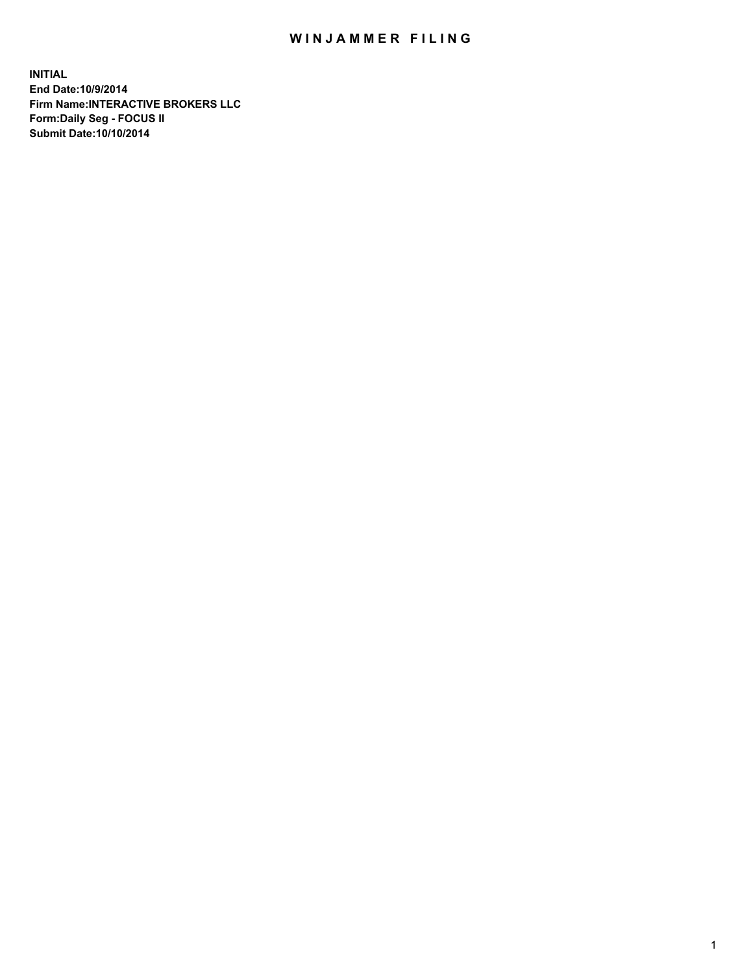## WIN JAMMER FILING

**INITIAL End Date:10/9/2014 Firm Name:INTERACTIVE BROKERS LLC Form:Daily Seg - FOCUS II Submit Date:10/10/2014**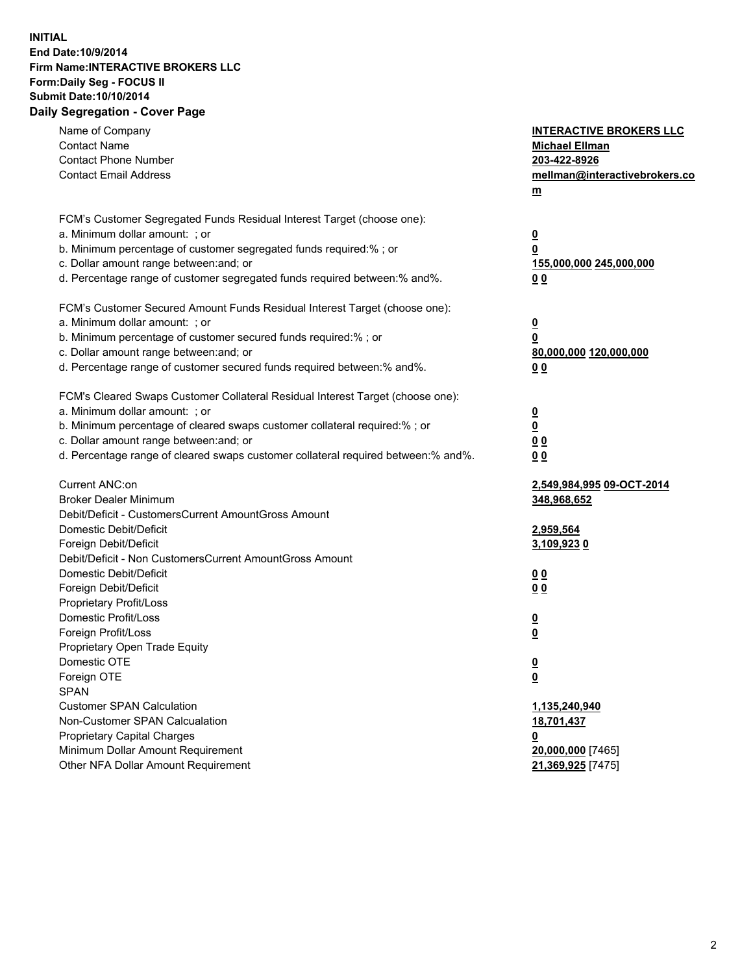## **INITIAL End Date:10/9/2014 Firm Name:INTERACTIVE BROKERS LLC Form:Daily Seg - FOCUS II Submit Date:10/10/2014 Daily Segregation - Cover Page**

| Name of Company<br><b>Contact Name</b><br><b>Contact Phone Number</b><br><b>Contact Email Address</b>                                                                                                                                                                                                                          | <b>INTERACTIVE BROKERS LLC</b><br><b>Michael Ellman</b><br>203-422-8926<br>mellman@interactivebrokers.co<br>$m$ |
|--------------------------------------------------------------------------------------------------------------------------------------------------------------------------------------------------------------------------------------------------------------------------------------------------------------------------------|-----------------------------------------------------------------------------------------------------------------|
| FCM's Customer Segregated Funds Residual Interest Target (choose one):<br>a. Minimum dollar amount: ; or<br>b. Minimum percentage of customer segregated funds required:% ; or<br>c. Dollar amount range between: and; or<br>d. Percentage range of customer segregated funds required between:% and%.                         | <u>0</u><br><u>0</u><br>155,000,000 245,000,000<br>0 <sub>0</sub>                                               |
| FCM's Customer Secured Amount Funds Residual Interest Target (choose one):<br>a. Minimum dollar amount: ; or<br>b. Minimum percentage of customer secured funds required:% ; or<br>c. Dollar amount range between: and; or<br>d. Percentage range of customer secured funds required between:% and%.                           | <u>0</u><br>0<br>80,000,000 120,000,000<br>0 <sub>0</sub>                                                       |
| FCM's Cleared Swaps Customer Collateral Residual Interest Target (choose one):<br>a. Minimum dollar amount: ; or<br>b. Minimum percentage of cleared swaps customer collateral required:% ; or<br>c. Dollar amount range between: and; or<br>d. Percentage range of cleared swaps customer collateral required between:% and%. | $\overline{\mathbf{0}}$<br><u>0</u><br>0 <sub>0</sub><br>0 <sub>0</sub>                                         |
| Current ANC:on<br><b>Broker Dealer Minimum</b><br>Debit/Deficit - CustomersCurrent AmountGross Amount<br>Domestic Debit/Deficit<br>Foreign Debit/Deficit                                                                                                                                                                       | 2,549,984,995 09-OCT-2014<br>348,968,652<br>2,959,564<br>3,109,9230                                             |
| Debit/Deficit - Non CustomersCurrent AmountGross Amount<br>Domestic Debit/Deficit<br>Foreign Debit/Deficit<br>Proprietary Profit/Loss<br>Domestic Profit/Loss<br>Foreign Profit/Loss                                                                                                                                           | 0 <sub>0</sub><br>0 <sub>0</sub><br><u>0</u>                                                                    |
| Proprietary Open Trade Equity<br>Domestic OTE<br>Foreign OTE<br><b>SPAN</b><br><b>Customer SPAN Calculation</b>                                                                                                                                                                                                                | <u>0</u><br><u>0</u><br><u>0</u><br>1,135,240,940                                                               |
| Non-Customer SPAN Calcualation<br><b>Proprietary Capital Charges</b><br>Minimum Dollar Amount Requirement<br>Other NFA Dollar Amount Requirement                                                                                                                                                                               | 18,701,437<br><u>0</u><br>20,000,000 [7465]<br>21,369,925 [7475]                                                |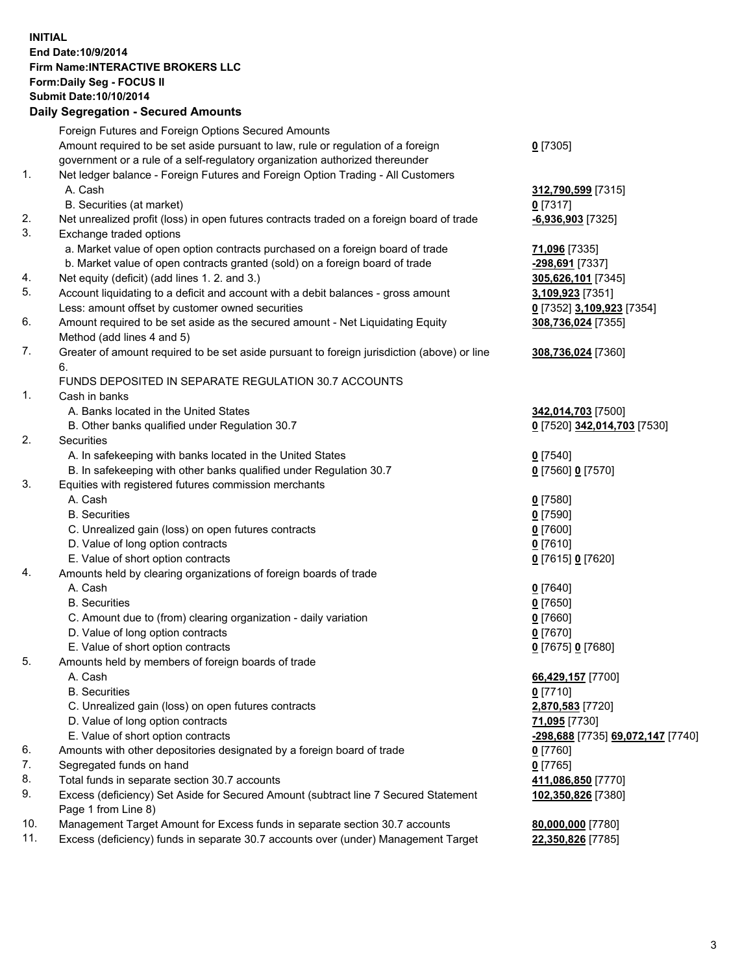## **INITIAL End Date:10/9/2014 Firm Name:INTERACTIVE BROKERS LLC Form:Daily Seg - FOCUS II Submit Date:10/10/2014**

|     | <b>Daily Segregation - Secured Amounts</b>                                                  |                                   |  |  |  |  |
|-----|---------------------------------------------------------------------------------------------|-----------------------------------|--|--|--|--|
|     | Foreign Futures and Foreign Options Secured Amounts                                         |                                   |  |  |  |  |
|     | Amount required to be set aside pursuant to law, rule or regulation of a foreign            | $0$ [7305]                        |  |  |  |  |
|     | government or a rule of a self-regulatory organization authorized thereunder                |                                   |  |  |  |  |
| 1.  | Net ledger balance - Foreign Futures and Foreign Option Trading - All Customers             |                                   |  |  |  |  |
|     | A. Cash                                                                                     | 312,790,599 [7315]                |  |  |  |  |
|     | B. Securities (at market)                                                                   | $0$ [7317]                        |  |  |  |  |
| 2.  | Net unrealized profit (loss) in open futures contracts traded on a foreign board of trade   | -6,936,903 [7325]                 |  |  |  |  |
| 3.  | Exchange traded options                                                                     |                                   |  |  |  |  |
|     | a. Market value of open option contracts purchased on a foreign board of trade              | 71,096 [7335]                     |  |  |  |  |
|     | b. Market value of open contracts granted (sold) on a foreign board of trade                | -298,691 [7337]                   |  |  |  |  |
| 4.  | Net equity (deficit) (add lines 1.2. and 3.)                                                | 305,626,101 [7345]                |  |  |  |  |
| 5.  | Account liquidating to a deficit and account with a debit balances - gross amount           | 3,109,923 [7351]                  |  |  |  |  |
|     | Less: amount offset by customer owned securities                                            | 0 [7352] 3,109,923 [7354]         |  |  |  |  |
| 6.  | Amount required to be set aside as the secured amount - Net Liquidating Equity              | 308,736,024 [7355]                |  |  |  |  |
|     | Method (add lines 4 and 5)                                                                  |                                   |  |  |  |  |
| 7.  | Greater of amount required to be set aside pursuant to foreign jurisdiction (above) or line | 308,736,024 [7360]                |  |  |  |  |
|     | 6.                                                                                          |                                   |  |  |  |  |
|     | FUNDS DEPOSITED IN SEPARATE REGULATION 30.7 ACCOUNTS                                        |                                   |  |  |  |  |
| 1.  | Cash in banks                                                                               |                                   |  |  |  |  |
|     | A. Banks located in the United States                                                       | 342,014,703 [7500]                |  |  |  |  |
|     | B. Other banks qualified under Regulation 30.7                                              | 0 [7520] 342,014,703 [7530]       |  |  |  |  |
| 2.  | Securities                                                                                  |                                   |  |  |  |  |
|     | A. In safekeeping with banks located in the United States                                   | $0$ [7540]                        |  |  |  |  |
|     | B. In safekeeping with other banks qualified under Regulation 30.7                          | 0 [7560] 0 [7570]                 |  |  |  |  |
| 3.  | Equities with registered futures commission merchants                                       |                                   |  |  |  |  |
|     | A. Cash                                                                                     | $0$ [7580]                        |  |  |  |  |
|     | <b>B.</b> Securities                                                                        | $0$ [7590]                        |  |  |  |  |
|     | C. Unrealized gain (loss) on open futures contracts                                         | $0$ [7600]                        |  |  |  |  |
|     | D. Value of long option contracts                                                           | $0$ [7610]                        |  |  |  |  |
|     | E. Value of short option contracts                                                          | 0 [7615] 0 [7620]                 |  |  |  |  |
| 4.  | Amounts held by clearing organizations of foreign boards of trade                           |                                   |  |  |  |  |
|     | A. Cash                                                                                     | $0$ [7640]                        |  |  |  |  |
|     | <b>B.</b> Securities                                                                        | $0$ [7650]                        |  |  |  |  |
|     | C. Amount due to (from) clearing organization - daily variation                             | $0$ [7660]                        |  |  |  |  |
|     | D. Value of long option contracts                                                           | $0$ [7670]                        |  |  |  |  |
| 5.  | E. Value of short option contracts                                                          | 0 [7675] 0 [7680]                 |  |  |  |  |
|     | Amounts held by members of foreign boards of trade<br>A. Cash                               |                                   |  |  |  |  |
|     | <b>B.</b> Securities                                                                        | 66,429,157 [7700]                 |  |  |  |  |
|     | C. Unrealized gain (loss) on open futures contracts                                         | $0$ [7710]                        |  |  |  |  |
|     | D. Value of long option contracts                                                           | 2,870,583 [7720]<br>71,095 [7730] |  |  |  |  |
|     | E. Value of short option contracts                                                          | -298,688 [7735] 69,072,147 [7740] |  |  |  |  |
| 6.  | Amounts with other depositories designated by a foreign board of trade                      | 0 [7760]                          |  |  |  |  |
| 7.  | Segregated funds on hand                                                                    | $0$ [7765]                        |  |  |  |  |
| 8.  | Total funds in separate section 30.7 accounts                                               | 411,086,850 [7770]                |  |  |  |  |
| 9.  | Excess (deficiency) Set Aside for Secured Amount (subtract line 7 Secured Statement         | 102,350,826 [7380]                |  |  |  |  |
|     | Page 1 from Line 8)                                                                         |                                   |  |  |  |  |
| 10. | Management Target Amount for Excess funds in separate section 30.7 accounts                 | 80,000,000 [7780]                 |  |  |  |  |
| 11. | Excess (deficiency) funds in separate 30.7 accounts over (under) Management Target          | 22,350,826 [7785]                 |  |  |  |  |
|     |                                                                                             |                                   |  |  |  |  |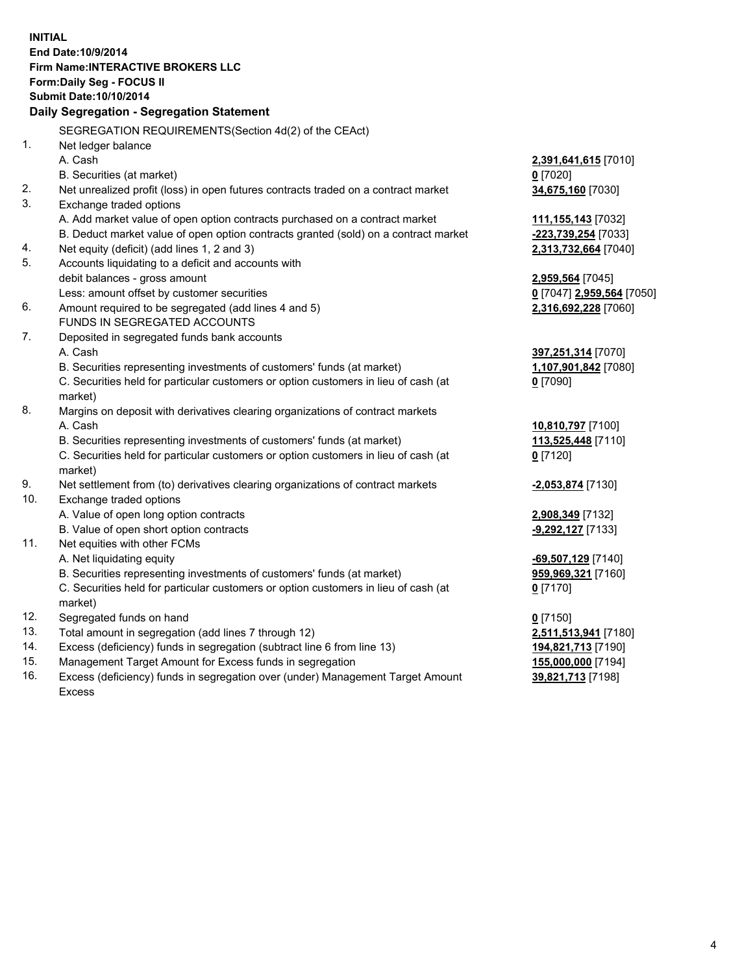**INITIAL End Date:10/9/2014 Firm Name:INTERACTIVE BROKERS LLC Form:Daily Seg - FOCUS II Submit Date:10/10/2014 Daily Segregation - Segregation Statement** SEGREGATION REQUIREMENTS(Section 4d(2) of the CEAct) 1. Net ledger balance A. Cash **2,391,641,615** [7010] B. Securities (at market) **0** [7020] 2. Net unrealized profit (loss) in open futures contracts traded on a contract market **34,675,160** [7030] 3. Exchange traded options A. Add market value of open option contracts purchased on a contract market **111,155,143** [7032] B. Deduct market value of open option contracts granted (sold) on a contract market **-223,739,254** [7033] 4. Net equity (deficit) (add lines 1, 2 and 3) **2,313,732,664** [7040] 5. Accounts liquidating to a deficit and accounts with debit balances - gross amount **2,959,564** [7045] Less: amount offset by customer securities **0** [7047] **2,959,564** [7050] 6. Amount required to be segregated (add lines 4 and 5) **2,316,692,228** [7060] FUNDS IN SEGREGATED ACCOUNTS 7. Deposited in segregated funds bank accounts A. Cash **397,251,314** [7070] B. Securities representing investments of customers' funds (at market) **1,107,901,842** [7080] C. Securities held for particular customers or option customers in lieu of cash (at market) **0** [7090] 8. Margins on deposit with derivatives clearing organizations of contract markets A. Cash **10,810,797** [7100] B. Securities representing investments of customers' funds (at market) **113,525,448** [7110] C. Securities held for particular customers or option customers in lieu of cash (at market) **0** [7120] 9. Net settlement from (to) derivatives clearing organizations of contract markets **-2,053,874** [7130] 10. Exchange traded options A. Value of open long option contracts **2,908,349** [7132] B. Value of open short option contracts **-9,292,127** [7133] 11. Net equities with other FCMs A. Net liquidating equity **-69,507,129** [7140] B. Securities representing investments of customers' funds (at market) **959,969,321** [7160] C. Securities held for particular customers or option customers in lieu of cash (at market) **0** [7170] 12. Segregated funds on hand **0** [7150] 13. Total amount in segregation (add lines 7 through 12) **2,511,513,941** [7180] 14. Excess (deficiency) funds in segregation (subtract line 6 from line 13) **194,821,713** [7190] 15. Management Target Amount for Excess funds in segregation **155,000,000** [7194]

16. Excess (deficiency) funds in segregation over (under) Management Target Amount Excess

**39,821,713** [7198]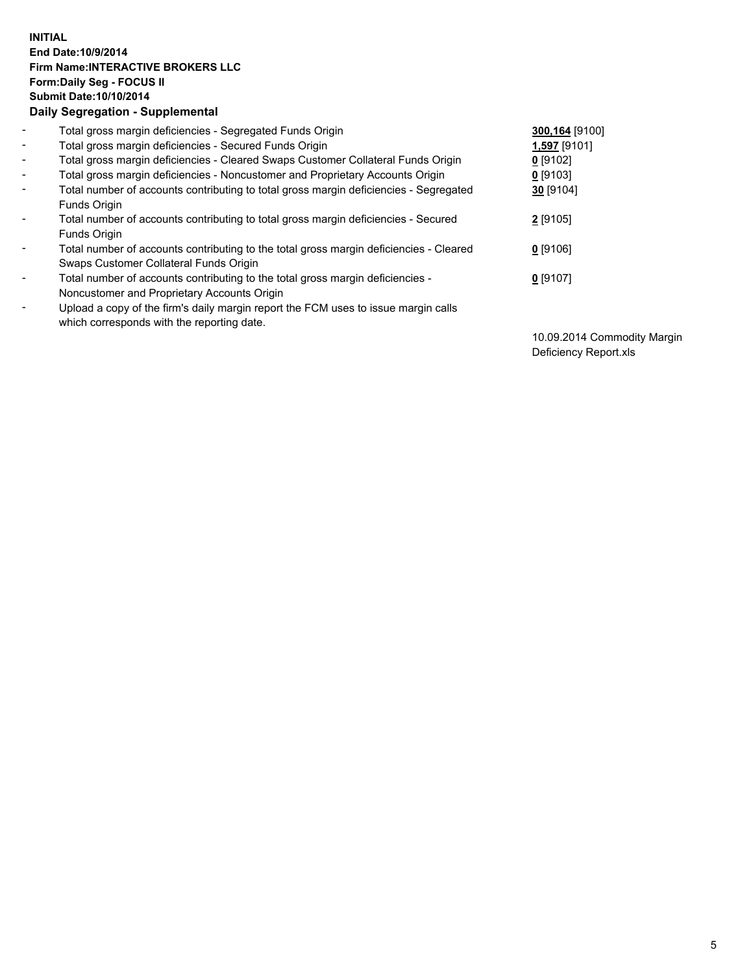## **INITIAL End Date:10/9/2014 Firm Name:INTERACTIVE BROKERS LLC Form:Daily Seg - FOCUS II Submit Date:10/10/2014 Daily Segregation - Supplemental**

| $\blacksquare$           | Total gross margin deficiencies - Segregated Funds Origin                              | 300,164 [9100] |
|--------------------------|----------------------------------------------------------------------------------------|----------------|
| $\sim$                   | Total gross margin deficiencies - Secured Funds Origin                                 | 1,597 [9101]   |
| $\blacksquare$           | Total gross margin deficiencies - Cleared Swaps Customer Collateral Funds Origin       | $0$ [9102]     |
| $\blacksquare$           | Total gross margin deficiencies - Noncustomer and Proprietary Accounts Origin          | $0$ [9103]     |
| $\blacksquare$           | Total number of accounts contributing to total gross margin deficiencies - Segregated  | 30 [9104]      |
|                          | Funds Origin                                                                           |                |
| $\blacksquare$           | Total number of accounts contributing to total gross margin deficiencies - Secured     | 2 [9105]       |
|                          | <b>Funds Origin</b>                                                                    |                |
| $\blacksquare$           | Total number of accounts contributing to the total gross margin deficiencies - Cleared | $0$ [9106]     |
|                          | Swaps Customer Collateral Funds Origin                                                 |                |
| $\overline{\phantom{a}}$ | Total number of accounts contributing to the total gross margin deficiencies -         | $0$ [9107]     |
|                          | Noncustomer and Proprietary Accounts Origin                                            |                |
| $\overline{\phantom{a}}$ | Upload a copy of the firm's daily margin report the FCM uses to issue margin calls     |                |
|                          | which corresponds with the reporting date.                                             |                |

10.09.2014 Commodity Margin Deficiency Report.xls